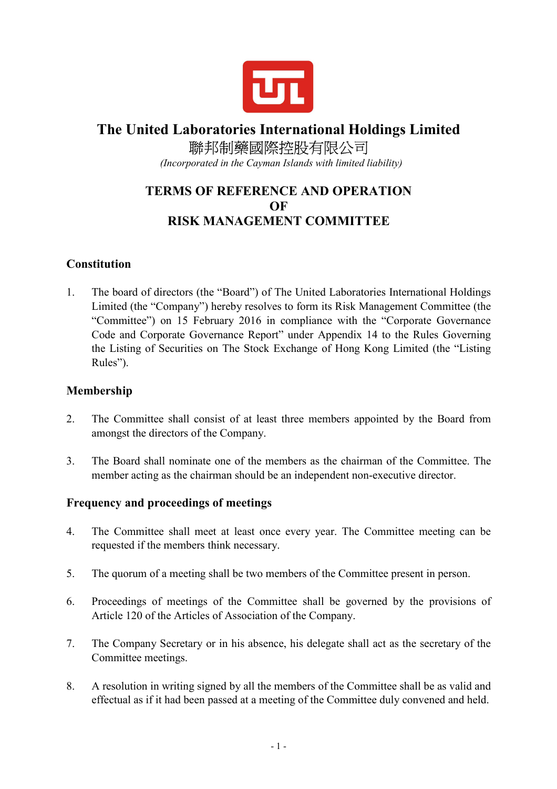

# **The United Laboratories International Holdings Limited**  聯邦制藥國際控股有限公司

 *(Incorporated in the Cayman Islands with limited liability)* 

# **TERMS OF REFERENCE AND OPERATION OF RISK MANAGEMENT COMMITTEE**

## **Constitution**

1. The board of directors (the "Board") of The United Laboratories International Holdings Limited (the "Company") hereby resolves to form its Risk Management Committee (the "Committee") on 15 February 2016 in compliance with the "Corporate Governance Code and Corporate Governance Report" under Appendix 14 to the Rules Governing the Listing of Securities on The Stock Exchange of Hong Kong Limited (the "Listing Rules").

#### **Membership**

- 2. The Committee shall consist of at least three members appointed by the Board from amongst the directors of the Company.
- 3. The Board shall nominate one of the members as the chairman of the Committee. The member acting as the chairman should be an independent non-executive director.

#### **Frequency and proceedings of meetings**

- 4. The Committee shall meet at least once every year. The Committee meeting can be requested if the members think necessary.
- 5. The quorum of a meeting shall be two members of the Committee present in person.
- 6. Proceedings of meetings of the Committee shall be governed by the provisions of Article 120 of the Articles of Association of the Company.
- 7. The Company Secretary or in his absence, his delegate shall act as the secretary of the Committee meetings.
- 8. A resolution in writing signed by all the members of the Committee shall be as valid and effectual as if it had been passed at a meeting of the Committee duly convened and held.